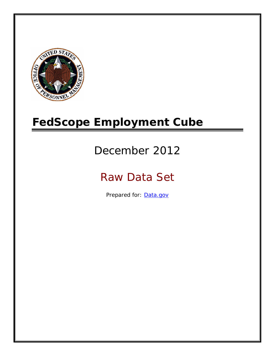

# **FedScope Employment Cube**

# December 2012

# Raw Data Set

Prepared for: [Data.gov](http://www.data.gov/)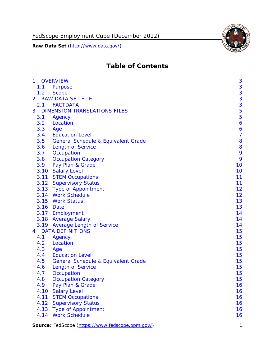FedScope Employment Cube (December 2012)

**Raw Data Set** (http://www.data.gov/)



# **Table of Contents**

| $\mathbf{1}$ | <b>OVERVIEW</b>                                | 3              |
|--------------|------------------------------------------------|----------------|
| 1.1          | Purpose                                        | 3              |
| 1.2          | <b>Scope</b>                                   | 3              |
| 2            | <b>RAW DATA SET FILE</b>                       | 3              |
| 2.1          | <b>FACTDATA</b>                                | 3              |
| 3            | <b>DIMENSION TRANSLATIONS FILES</b>            | 5              |
| 3.1          | Agency                                         | 5              |
| 3.2          | Location                                       | 6              |
| 3.3          | Age                                            | 6              |
| 3.4          | <b>Education Level</b>                         | $\overline{7}$ |
| 3.5          | <b>General Schedule &amp; Equivalent Grade</b> | 8              |
| 3.6          | <b>Length of Service</b>                       | 8              |
| 3.7          | Occupation                                     | 9              |
| 3.8          | <b>Occupation Category</b>                     | 9              |
| 3.9          | Pay Plan & Grade                               | 10             |
| 3.10         | <b>Salary Level</b>                            | 10             |
|              | 3.11 STEM Occupations                          | 11             |
|              | 3.12 Supervisory Status                        | 11             |
|              | 3.13 Type of Appointment                       | 12             |
|              | 3.14 Work Schedule                             | 12             |
| 3.15         | <b>Work Status</b>                             | 13             |
|              | 3.16 Date                                      | 13             |
|              | 3.17 Employment                                | 14             |
|              | 3.18 Average Salary                            | 14             |
|              | 3.19 Average Length of Service                 | 14             |
| 4            | <b>DATA DEFINITIONS</b>                        | 15             |
| 4.1          | Agency                                         | 15             |
| 4.2          | Location                                       | 15             |
| 4.3          | Age                                            | 15             |
| 4.4          | <b>Education Level</b>                         | 15             |
| 4.5          | <b>General Schedule &amp; Equivalent Grade</b> | 15             |
| 4.6          | <b>Length of Service</b>                       | 15             |
| 4.7          | Occupation                                     | 15             |
| 4.8          | <b>Occupation Category</b>                     | 15             |
| 4.9          | Pay Plan & Grade                               | 16             |
| 4.10         | <b>Salary Level</b>                            | 16             |
| 4.11         | <b>STEM Occupations</b>                        | 16             |
| 4.12         | <b>Supervisory Status</b>                      | 16             |
| 4.13         | <b>Type of Appointment</b>                     | 16             |
| 4.14         | <b>Work Schedule</b>                           | 16             |

Source: FedScope (https://www.fedscope.opm.gov/) 1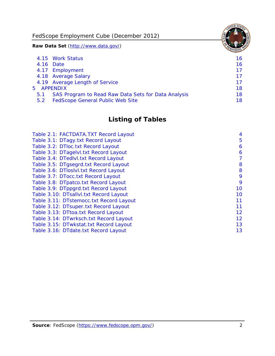FedScope Employment Cube (December 2012)

**Raw Data Set** (http://www.data.gov/)

|               | 4.15 Work Status                                    | 16 |
|---------------|-----------------------------------------------------|----|
|               | 4.16 Date                                           | 16 |
|               | 4.17 Employment                                     | 17 |
|               | 4.18 Average Salary                                 | 17 |
|               | 4.19 Average Length of Service                      | 17 |
|               | 5 APPENDIX                                          | 18 |
| 5.1           | SAS Program to Read Raw Data Sets for Data Analysis | 18 |
| $5.2^{\circ}$ | <b>FedScope General Public Web Site</b>             | 18 |

# **Listing of Tables**

| Table 2.1: FACTDATA.TXT Record Layout   | 4  |
|-----------------------------------------|----|
| Table 3.1: DTagy.txt Record Layout      | 5  |
| Table 3.2: DTloc.txt Record Layout      | 6  |
| Table 3.3: DTagelvl.txt Record Layout   | 6  |
| Table 3.4: DTedlvl.txt Record Layout    | 7  |
| Table 3.5: DTgsegrd.txt Record Layout   | 8  |
| Table 3.6: DTIoslyl.txt Record Layout   | 8  |
| Table 3.7: DTocc.txt Record Layout      | 9  |
| Table 3.8: DTpatco.txt Record Layout    | 9  |
| Table 3.9: DTppgrd.txt Record Layout    | 10 |
| Table 3.10: DTsallvl.txt Record Layout  | 10 |
| Table 3.11: DTstemocc.txt Record Layout | 11 |
| Table 3.12: DTsuper.txt Record Layout   | 11 |
| Table 3.13: DTtoa.txt Record Layout     | 12 |
| Table 3.14: DTwrksch.txt Record Layout  | 12 |
| Table 3.15: DTwkstat.txt Record Layout  | 13 |
| Table 3.16: DTdate.txt Record Layout    | 13 |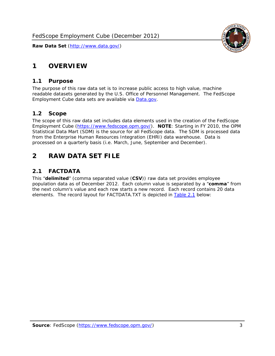# <span id="page-3-0"></span>**1 OVERVIEW**

### *1.1 Purpose*

<span id="page-3-1"></span>The purpose of this raw data set is to increase public access to high value, machine readable datasets generated by the U.S. Office of Personnel Management. The FedScope Employment Cube data sets are available via [Data.gov](http://www.data.gov/).

# <span id="page-3-2"></span>*1.2 Scope*

The scope of this raw data set includes data elements used in the creation of the FedScope Employment Cube [\(https://www.fedscope.opm.gov/\)](https://www.fedscope.opm.gov/). **NOTE**: Starting in FY 2010, the OPM Statistical Data Mart (SDM) is the source for all FedScope data. The SDM is processed data from the Enterprise Human Resources Integration (EHRI) data warehouse. Data is processed on a quarterly basis (i.e. March, June, September and December).

# <span id="page-3-3"></span>**2 RAW DATA SET FILE**

# <span id="page-3-4"></span>*2.1 FACTDATA*

This "**delimited**" (comma separated value (**CSV**)) raw data set provides employee population data as of December 2012. Each column value is separated by a "**comma**" from the next column's value and each row starts a new record. Each record contains 20 data elements. The record layout for FACTDATA.TXT is depicted in [Table 2.1](#page-4-1) below:

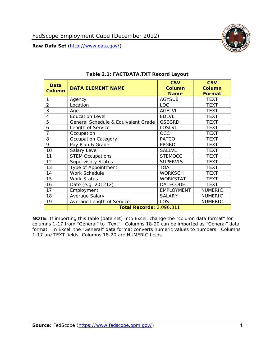

<span id="page-4-1"></span><span id="page-4-0"></span>

| Data<br><b>Column</b> | <b>DATA ELEMENT NAME</b>            | <b>CSV</b><br>Column<br><b>Name</b> | <b>CSV</b><br><b>Column</b><br><b>Format</b> |
|-----------------------|-------------------------------------|-------------------------------------|----------------------------------------------|
| 1                     | Agency                              | <b>AGYSUB</b>                       | <b>TEXT</b>                                  |
| $\overline{2}$        | Location                            | <b>LOC</b>                          | <b>TEXT</b>                                  |
| 3                     | Age                                 | <b>AGELVL</b>                       | <b>TEXT</b>                                  |
| 4                     | <b>Education Level</b>              | <b>EDLVL</b>                        | <b>TEXT</b>                                  |
| 5                     | General Schedule & Equivalent Grade | <b>GSEGRD</b>                       | <b>TEXT</b>                                  |
| 6                     | Length of Service                   | <b>LOSLVL</b>                       | <b>TEXT</b>                                  |
| 7                     | Occupation                          | OCC                                 | <b>TEXT</b>                                  |
| 8                     | Occupation Category                 | <b>PATCO</b>                        | <b>TEXT</b>                                  |
| 9                     | Pay Plan & Grade                    | <b>PPGRD</b>                        | <b>TEXT</b>                                  |
| 10                    | Salary Level                        | <b>SALLVL</b>                       | <b>TEXT</b>                                  |
| 11                    | <b>STEM Occupations</b>             | <b>STEMOCC</b>                      | <b>TEXT</b>                                  |
| 12                    | <b>Supervisory Status</b>           | <b>SUPERVIS</b>                     | <b>TEXT</b>                                  |
| 13                    | Type of Appointment                 | <b>TOA</b>                          | <b>TEXT</b>                                  |
| 14                    | Work Schedule                       | <b>WORKSCH</b>                      | <b>TEXT</b>                                  |
| 15                    | Work Status                         | <b>WORKSTAT</b>                     | TEXT                                         |
| 16                    | Date (e.g. 201212)                  | <b>DATECODE</b>                     | <b>TEXT</b>                                  |
| 17                    | Employment                          | <b>EMPLOYMENT</b>                   | <b>NUMERIC</b>                               |
| 18                    | Average Salary                      | <b>SALARY</b>                       | <b>NUMERIC</b>                               |
| 19                    | Average Length of Service           | <b>LOS</b>                          | <b>NUMERIC</b>                               |
|                       | <b>Total Records: 2,096,311</b>     |                                     |                                              |

#### **Table 2.1: FACTDATA.TXT Record Layout**

**NOTE**: If importing this table (data set) into Excel, change the "column data format" for columns 1-17 from "General" to "Text". Columns 18-20 can be imported as "General" data format. In Excel, the "General" data format converts numeric values to numbers. Columns 1-17 are TEXT fields; Columns 18-20 are NUMERIC fields.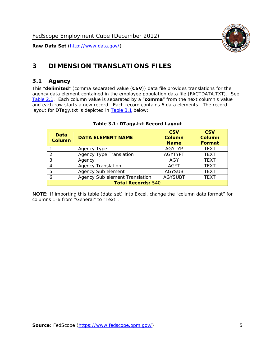

# <span id="page-5-0"></span>**3 DIMENSION TRANSLATIONS FILES**

#### <span id="page-5-1"></span>*3.1 Agency*

<span id="page-5-3"></span><span id="page-5-2"></span>This "**delimited**" (comma separated value (**CSV**)) data file provides translations for the agency data element contained in the employee population data file (FACTDATA.TXT). See [Table 2.1.](#page-4-1) Each column value is separated by a "**comma**" from the next column's value and each row starts a new record. Each record contains 6 data elements. The record layout for DTagy.txt is depicted in [Table 3.1](#page-5-3) below:

| Data<br><b>Column</b>     | <b>DATA ELEMENT NAME</b>       | <b>CSV</b><br><b>Column</b><br><b>Name</b> | <b>CSV</b><br>Column<br><b>Format</b> |
|---------------------------|--------------------------------|--------------------------------------------|---------------------------------------|
|                           | Agency Type                    | <b>AGYTYP</b>                              | <b>TEXT</b>                           |
| 2                         | <b>Agency Type Translation</b> | <b>AGYTYPT</b>                             | <b>TEXT</b>                           |
| 3                         | Agency                         | AGY                                        | <b>TEXT</b>                           |
|                           | <b>Agency Translation</b>      | <b>AGYT</b>                                | <b>TEXT</b>                           |
| -5                        | Agency Sub element             | <b>AGYSUB</b>                              | <b>TEXT</b>                           |
|                           | Agency Sub element Translation | <b>AGYSUBT</b>                             | <b>TEXT</b>                           |
| <b>Total Records: 540</b> |                                |                                            |                                       |

#### **Table 3.1: DTagy.txt Record Layout**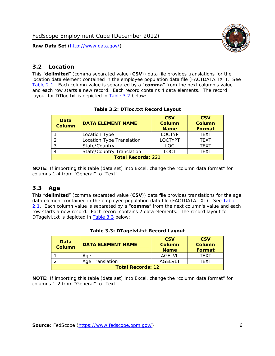

## <span id="page-6-0"></span>*3.2 Location*

<span id="page-6-4"></span><span id="page-6-2"></span>This "**delimited**" (comma separated value (**CSV**)) data file provides translations for the location data element contained in the employee population data file (FACTDATA.TXT). See [Table 2.1.](#page-4-1) Each column value is separated by a "**comma**" from the next column's value and each row starts a new record. Each record contains 4 data elements. The record layout for DTloc.txt is depicted in [Table 3.2](#page-6-4) below:

| Data<br><b>Column</b>     | <b>DATA ELEMENT NAME</b>         | <b>CSV</b><br>Column<br><b>Name</b> | <b>CSV</b><br><b>Column</b><br><b>Format</b> |
|---------------------------|----------------------------------|-------------------------------------|----------------------------------------------|
|                           | Location Type                    | <b>LOCTYP</b>                       | <b>TEXT</b>                                  |
|                           | Location Type Translation        | <b>LOCTYPT</b>                      | <b>TEXT</b>                                  |
| ົ                         | State/Country                    | <b>LOC</b>                          | <b>TFXT</b>                                  |
|                           | <b>State/Country Translation</b> | LOCT                                | <b>TFXT</b>                                  |
| <b>Total Records: 221</b> |                                  |                                     |                                              |

#### **Table 3.2: DTloc.txt Record Layout**

**NOTE**: If importing this table (data set) into Excel, change the "column data format" for columns 1-4 from "General" to "Text".

#### <span id="page-6-1"></span>*3.3 Age*

<span id="page-6-5"></span><span id="page-6-3"></span>This "**delimited**" (comma separated value (**CSV**)) data file provides translations for the age data element contained in the employee population data file (FACTDATA.TXT). See [Table](#page-4-1) [2.1](#page-4-1). Each column value is separated by a "**comma**" from the next column's value and each row starts a new record. Each record contains 2 data elements. The record layout for DTagelvl.txt is depicted in **[Table 3.3](#page-6-5)** below:

| Data<br>Column           | <b>DATA ELEMENT NAME</b> | <b>CSV</b><br>Column<br><b>Name</b> | <b>CSV</b><br>Column<br>Format |
|--------------------------|--------------------------|-------------------------------------|--------------------------------|
|                          | Aae                      | AGFI VI                             | TFXT                           |
|                          | Age Translation          | AGFI VI T                           | TFXT                           |
| <b>Total Records: 12</b> |                          |                                     |                                |

#### **Table 3.3: DTagelvl.txt Record Layout**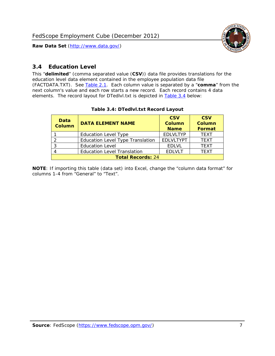

## <span id="page-7-0"></span>*3.4 Education Level*

<span id="page-7-2"></span><span id="page-7-1"></span>This "**delimited**" (comma separated value (**CSV**)) data file provides translations for the education level data element contained in the employee population data file (FACTDATA.TXT). See [Table 2.1](#page-4-1). Each column value is separated by a "**comma**" from the next column's value and each row starts a new record. Each record contains 4 data elements. The record layout for DTedlvl.txt is depicted in [Table 3.4](#page-7-2) below:

| Data<br><b>Column</b>    | <b>DATA ELEMENT NAME</b>                | <b>CSV</b><br><b>Column</b><br><b>Name</b> | <b>CSV</b><br><b>Column</b><br><b>Format</b> |
|--------------------------|-----------------------------------------|--------------------------------------------|----------------------------------------------|
|                          | <b>Education Level Type</b>             | <b>EDLVLTYP</b>                            | <b>TEXT</b>                                  |
|                          | <b>Education Level Type Translation</b> | <b>EDLVLTYPT</b>                           | <b>TEXT</b>                                  |
|                          | <b>Education Level</b>                  | <b>EDLVL</b>                               | <b>TEXT</b>                                  |
|                          | <b>Education Level Translation</b>      | <b>EDLVLT</b>                              | <b>TEXT</b>                                  |
| <b>Total Records: 24</b> |                                         |                                            |                                              |

#### **Table 3.4: DTedlvl.txt Record Layout**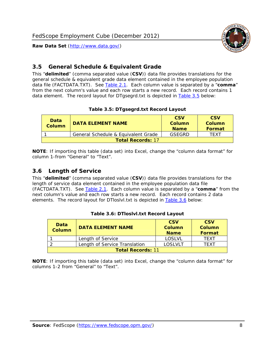

<span id="page-8-0"></span>

This "**delimited**" (comma separated value (**CSV**)) data file provides translations for the general schedule & equivalent grade data element contained in the employee population data file (FACTDATA.TXT). See [Table 2.1](#page-4-1). Each column value is separated by a "**comma**" from the next column's value and each row starts a new record. Each record contains 1 data element. The record layout for DTgsegrd.txt is depicted in [Table 3.5](#page-8-4) below:

#### **Table 3.5: DTgsegrd.txt Record Layout**

<span id="page-8-4"></span><span id="page-8-2"></span>

| Data<br>Column           | <b>DATA ELEMENT NAME</b>            | <b>CSV</b><br>Column<br><b>Name</b> | <b>CSV</b><br>Column<br>Format |
|--------------------------|-------------------------------------|-------------------------------------|--------------------------------|
|                          | General Schedule & Equivalent Grade | GSFGRD                              | <b>TFXT</b>                    |
| <b>Total Records: 17</b> |                                     |                                     |                                |

**NOTE**: If importing this table (data set) into Excel, change the "column data format" for column 1-from "General" to "Text".

#### <span id="page-8-1"></span>*3.6 Length of Service*

<span id="page-8-5"></span><span id="page-8-3"></span>This "**delimited**" (comma separated value (**CSV**)) data file provides translations for the length of service data element contained in the employee population data file (FACTDATA.TXT). See [Table 2.1](#page-4-1). Each column value is separated by a "**comma**" from the next column's value and each row starts a new record. Each record contains 2 data elements. The record layout for DTloslvl.txt is depicted in [Table 3.6](#page-8-5) below:

| Data<br><b>Column</b>    | <b>DATA ELEMENT NAME</b>      | <b>CSV</b><br><b>Column</b><br><b>Name</b> | <b>CSV</b><br>Column<br>Format |
|--------------------------|-------------------------------|--------------------------------------------|--------------------------------|
|                          | Length of Service             | LOSLVL                                     | TFXT                           |
|                          | Length of Service Translation | LOSI VLT                                   | TFXT                           |
| <b>Total Records: 11</b> |                               |                                            |                                |

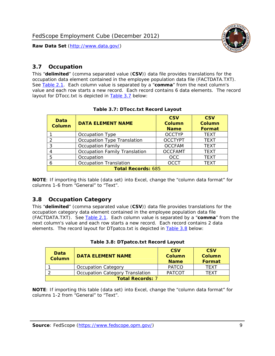

## <span id="page-9-0"></span>*3.7 Occupation*

<span id="page-9-4"></span>This "**delimited**" (comma separated value (**CSV**)) data file provides translations for the occupation data element contained in the employee population data file (FACTDATA.TXT). See [Table 2.1](#page-4-1). Each column value is separated by a "**comma**" from the next column's value and each row starts a new record. Each record contains 6 data elements. The record layout for DTocc.txt is depicted in [Table 3.7](#page-9-4) below:

<span id="page-9-2"></span>

| Data<br><b>Column</b>     | <b>DATA ELEMENT NAME</b>             | <b>CSV</b><br>Column<br><b>Name</b> | <b>CSV</b><br><b>Column</b><br><b>Format</b> |
|---------------------------|--------------------------------------|-------------------------------------|----------------------------------------------|
|                           | Occupation Type                      | <b>OCCTYP</b>                       | <b>TEXT</b>                                  |
|                           | Occupation Type Translation          | <b>OCCTYPT</b>                      | <b>TEXT</b>                                  |
| ာ                         | <b>Occupation Family</b>             | <b>OCCFAM</b>                       | <b>TEXT</b>                                  |
|                           | <b>Occupation Family Translation</b> | <b>OCCFAMT</b>                      | <b>TEXT</b>                                  |
| 5                         | Occupation                           | <b>OCC</b>                          | <b>TEXT</b>                                  |
|                           | <b>Occupation Translation</b>        | <b>OCCT</b>                         | <b>TEXT</b>                                  |
| <b>Total Records: 685</b> |                                      |                                     |                                              |

#### **Table 3.7: DTocc.txt Record Layout**

**NOTE**: If importing this table (data set) into Excel, change the "column data format" for columns 1-6 from "General" to "Text".

#### <span id="page-9-1"></span>*3.8 Occupation Category*

<span id="page-9-5"></span>This "**delimited**" (comma separated value (**CSV**)) data file provides translations for the occupation category data element contained in the employee population data file (FACTDATA.TXT). See [Table 2.1](#page-4-1). Each column value is separated by a "**comma**" from the next column's value and each row starts a new record. Each record contains 2 data elements. The record layout for DTpatco.txt is depicted in [Table 3.8](#page-9-5) below:

<span id="page-9-3"></span>

| Data<br><b>Column</b>   | <b>DATA ELEMENT NAME</b>        | <b>CSV</b><br>Column<br><b>Name</b> | <b>CSV</b><br>Column<br>Format |  |
|-------------------------|---------------------------------|-------------------------------------|--------------------------------|--|
|                         | <b>Occupation Category</b>      | <b>PATCO</b>                        | <b>TFXT</b>                    |  |
|                         | Occupation Category Translation | <b>PATCOT</b>                       | TFXT                           |  |
| <b>Total Records: 7</b> |                                 |                                     |                                |  |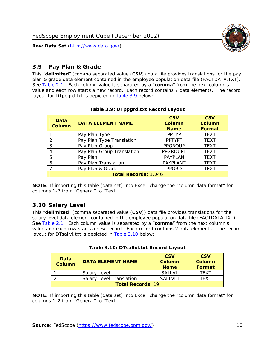

## <span id="page-10-0"></span>*3.9 Pay Plan & Grade*

<span id="page-10-4"></span>This "**delimited**" (comma separated value (**CSV**)) data file provides translations for the pay plan & grade data element contained in the employee population data file (FACTDATA.TXT). See [Table 2.1](#page-4-1). Each column value is separated by a "**comma**" from the next column's value and each row starts a new record. Each record contains 7 data elements. The record layout for DTppgrd.txt is depicted in **Table 3.9** below:

<span id="page-10-2"></span>

| Data<br><b>Column</b>       | <b>DATA ELEMENT NAME</b>   | <b>CSV</b><br>Column<br><b>Name</b> | <b>CSV</b><br>Column<br><b>Format</b> |  |
|-----------------------------|----------------------------|-------------------------------------|---------------------------------------|--|
|                             | Pay Plan Type              | <b>PPTYP</b>                        | <b>TEXT</b>                           |  |
| $\mathcal{P}$               | Pay Plan Type Translation  | <b>PPTYPT</b>                       | <b>TEXT</b>                           |  |
| 3                           | Pay Plan Group             | <b>PPGROUP</b>                      | <b>TEXT</b>                           |  |
|                             | Pay Plan Group Translation | <b>PPGROUPT</b>                     | <b>TEXT</b>                           |  |
| 5                           | Pay Plan                   | <b>PAYPLAN</b>                      | <b>TEXT</b>                           |  |
| 6                           | Pay Plan Translation       | PAYPLANT                            | <b>TEXT</b>                           |  |
|                             | Pay Plan & Grade           | <b>PPGRD</b>                        | <b>TEXT</b>                           |  |
| <b>Total Records: 1,046</b> |                            |                                     |                                       |  |

#### **Table 3.9: DTppgrd.txt Record Layout**

**NOTE**: If importing this table (data set) into Excel, change the "column data format" for columns 1-7 from "General" to "Text".

# <span id="page-10-1"></span>*3.10 Salary Level*

<span id="page-10-5"></span><span id="page-10-3"></span>This "**delimited**" (comma separated value (**CSV**)) data file provides translations for the salary level data element contained in the employee population data file (FACTDATA.TXT). See [Table 2.1](#page-4-1). Each column value is separated by a "**comma**" from the next column's value and each row starts a new record. Each record contains 2 data elements. The record layout for DTsallvl.txt is depicted in [Table 3.10](#page-10-5) below:

| <b>Data</b><br>Column    | <b>DATA ELEMENT NAME</b>        | <b>CSV</b><br>Column<br><b>Name</b> | <b>CSV</b><br>Column<br><b>Format</b> |
|--------------------------|---------------------------------|-------------------------------------|---------------------------------------|
|                          | Salary Level                    | <b>SALLVL</b>                       | TFXT                                  |
|                          | <b>Salary Level Translation</b> | SAI I VI T                          | TEXT                                  |
| <b>Total Records: 19</b> |                                 |                                     |                                       |

| Table 3.10: DTsallvl.txt Record Layout |  |
|----------------------------------------|--|
|----------------------------------------|--|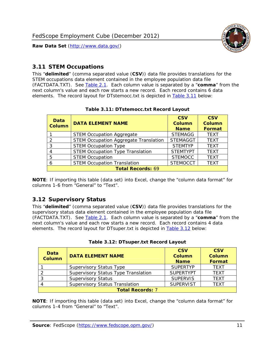

## <span id="page-11-0"></span>*3.11 STEM Occupations*

<span id="page-11-4"></span>This "**delimited**" (comma separated value (**CSV**)) data file provides translations for the STEM occupations data element contained in the employee population data file (FACTDATA.TXT). See [Table 2.1](#page-4-1). Each column value is separated by a "**comma**" from the next column's value and each row starts a new record. Each record contains 6 data elements. The record layout for DTstemocc.txt is depicted in [Table 3.11](#page-11-4) below:

<span id="page-11-2"></span>

| <b>Data</b><br><b>Column</b> | <b>DATA ELEMENT NAME</b>                     | <b>CSV</b><br><b>Column</b><br><b>Name</b> | <b>CSV</b><br><b>Column</b><br>Format |  |  |
|------------------------------|----------------------------------------------|--------------------------------------------|---------------------------------------|--|--|
|                              | <b>STEM Occupation Aggregate</b>             | <b>STEMAGG</b>                             | <b>TEXT</b>                           |  |  |
|                              | <b>STEM Occupation Aggregate Translation</b> | <b>STEMAGGT</b>                            | <b>TEXT</b>                           |  |  |
| 3                            | <b>STEM Occupation Type</b>                  | <b>STEMTYP</b>                             | <b>TFXT</b>                           |  |  |
|                              | <b>STEM Occupation Type Translation</b>      | <b>STEMTYPT</b>                            | <b>TEXT</b>                           |  |  |
| 5                            | <b>STEM Occupation</b>                       | <b>STEMOCC</b>                             | <b>TEXT</b>                           |  |  |
|                              | <b>STEM Occupation Translation</b>           | <b>STEMOCCT</b>                            | <b>TEXT</b>                           |  |  |
| <b>Total Records: 69</b>     |                                              |                                            |                                       |  |  |

#### **Table 3.11: DTstemocc.txt Record Layout**

**NOTE**: If importing this table (data set) into Excel, change the "column data format" for columns 1-6 from "General" to "Text".

# <span id="page-11-1"></span>*3.12 Supervisory Status*

This "**delimited**" (comma separated value (**CSV**)) data file provides translations for the supervisory status data element contained in the employee population data file (FACTDATA.TXT). See [Table 2.1](#page-4-1). Each column value is separated by a "**comma**" from the next column's value and each row starts a new record. Each record contains 4 data elements. The record layout for DTsuper.txt is depicted in [Table 3.12](#page-11-5) below:

<span id="page-11-5"></span><span id="page-11-3"></span>

| Data<br><b>Column</b> | <b>DATA ELEMENT NAME</b>              | <b>CSV</b><br>Column<br><b>Name</b> | <b>CSV</b><br><b>Column</b><br>Format |
|-----------------------|---------------------------------------|-------------------------------------|---------------------------------------|
|                       | <b>Supervisory Status Type</b>        | <b>SUPFRTYP</b>                     | <b>TEXT</b>                           |
|                       | Supervisory Status Type Translation   | <b>SUPERTYPT</b>                    | <b>TEXT</b>                           |
|                       | <b>Supervisory Status</b>             | <b>SUPERVIS</b>                     | <b>TEXT</b>                           |
|                       | <b>Supervisory Status Translation</b> | <b>SUPERVIST</b>                    | <b>TEXT</b>                           |
|                       | <b>Total Records: 7</b>               |                                     |                                       |

|  | Table 3.12: DTsuper.txt Record Layout |  |
|--|---------------------------------------|--|
|--|---------------------------------------|--|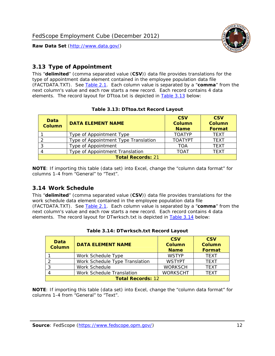

## <span id="page-12-0"></span>*3.13 Type of Appointment*

This "**delimited**" (comma separated value (**CSV**)) data file provides translations for the type of appointment data element contained in the employee population data file (FACTDATA.TXT). See [Table 2.1](#page-4-1). Each column value is separated by a "**comma**" from the next column's value and each row starts a new record. Each record contains 4 data elements. The record layout for DTtoa.txt is depicted in [Table 3.13](#page-12-4) below:

<span id="page-12-4"></span><span id="page-12-2"></span>

| Data<br><b>Column</b> | <b>DATA ELEMENT NAME</b>             | <b>CSV</b><br><b>Column</b><br><b>Name</b> | <b>CSV</b><br><b>Column</b><br>Format |
|-----------------------|--------------------------------------|--------------------------------------------|---------------------------------------|
|                       | Type of Appointment Type             | <b>TOATYP</b>                              | <b>TEXT</b>                           |
|                       | Type of Appointment Type Translation | <b>TOATYPT</b>                             | <b>TEXT</b>                           |
|                       | Type of Appointment                  | TOA                                        | <b>TEXT</b>                           |
|                       | Type of Appointment Translation      | TOAT                                       | <b>TFXT</b>                           |
|                       | <b>Total Records: 21</b>             |                                            |                                       |

#### **Table 3.13: DTtoa.txt Record Layout**

**NOTE**: If importing this table (data set) into Excel, change the "column data format" for columns 1-4 from "General" to "Text".

#### <span id="page-12-1"></span>*3.14 Work Schedule*

<span id="page-12-5"></span>This "**delimited**" (comma separated value (**CSV**)) data file provides translations for the work schedule data element contained in the employee population data file (FACTDATA.TXT). See [Table 2.1](#page-4-1). Each column value is separated by a "**comma**" from the next column's value and each row starts a new record. Each record contains 4 data elements. The record layout for DTwrksch.txt is depicted in [Table 3.14](#page-12-5) below:

<span id="page-12-3"></span>

| Data<br>Column           | <b>DATA ELEMENT NAME</b>       | <b>CSV</b><br><b>Column</b><br><b>Name</b> | <b>CSV</b><br>Column<br>Format |  |  |
|--------------------------|--------------------------------|--------------------------------------------|--------------------------------|--|--|
|                          | Work Schedule Type             | <b>WSTYP</b>                               | <b>TEXT</b>                    |  |  |
|                          | Work Schedule Type Translation | <b>WSTYPT</b>                              | <b>TFXT</b>                    |  |  |
| 3                        | Work Schedule                  | <b>WORKSCH</b>                             | <b>TFXT</b>                    |  |  |
|                          | Work Schedule Translation      | <b>WORKSCHT</b>                            | <b>TEXT</b>                    |  |  |
| <b>Total Records: 12</b> |                                |                                            |                                |  |  |

|  | Table 3.14: DTwrksch.txt Record Layout |  |
|--|----------------------------------------|--|
|  |                                        |  |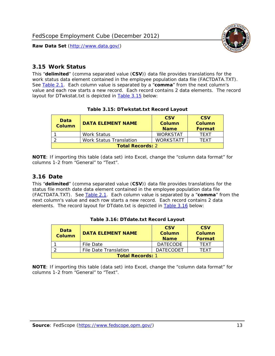

#### <span id="page-13-0"></span>*3.15 Work Status*

<span id="page-13-4"></span><span id="page-13-2"></span>This "**delimited**" (comma separated value (**CSV**)) data file provides translations for the work status data element contained in the employee population data file (FACTDATA.TXT). See [Table 2.1](#page-4-1). Each column value is separated by a "**comma**" from the next column's value and each row starts a new record. Each record contains 2 data elements. The record layout for DTwkstat.txt is depicted in [Table 3.15](#page-13-4) below:

| Data<br><b>Column</b>   | <b>DATA ELEMENT NAME</b>       | <b>CSV</b><br>Column<br><b>Name</b> | <b>CSV</b><br>Column<br><b>Format</b> |
|-------------------------|--------------------------------|-------------------------------------|---------------------------------------|
|                         | <b>Work Status</b>             | <b>WORKSTAT</b>                     | TFXT                                  |
|                         | <b>Work Status Translation</b> | <b>WORKSTATT</b>                    | TFXT                                  |
| <b>Total Records: 2</b> |                                |                                     |                                       |

#### **Table 3.15: DTwkstat.txt Record Layout**

**NOTE**: If importing this table (data set) into Excel, change the "column data format" for columns 1-2 from "General" to "Text".

#### <span id="page-13-1"></span>*3.16 Date*

<span id="page-13-5"></span><span id="page-13-3"></span>This "**delimited**" (comma separated value (**CSV**)) data file provides translations for the status file month date data element contained in the employee population data file (FACTDATA.TXT). See [Table 2.1](#page-4-1). Each column value is separated by a "**comma**" from the next column's value and each row starts a new record. Each record contains 2 data elements. The record layout for DTdate.txt is depicted in [Table 3.16](#page-13-5) below:

| Data<br><b>Column</b>   | <b>DATA ELEMENT NAME</b> | <b>CSV</b><br>Column<br><b>Name</b> | <b>CSV</b><br>Column<br><b>Format</b> |
|-------------------------|--------------------------|-------------------------------------|---------------------------------------|
|                         | File Date                | <b>DATECODE</b>                     | TFXT                                  |
|                         | File Date Translation    | <b>DATECODET</b>                    | TFXT                                  |
| <b>Total Records: 1</b> |                          |                                     |                                       |

**Table 3.16: DTdate.txt Record Layout**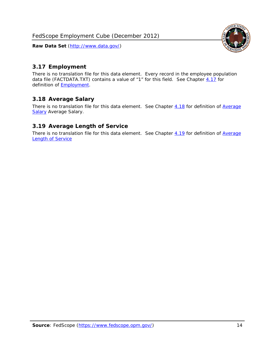

## <span id="page-14-0"></span>*3.17 Employment*

There is no translation file for this data element. Every record in the employee population data file (FACTDATA.TXT) contains a value of "1" for this field. See Chapter [4.17](#page-16-8) for definition of **Employment**.

## <span id="page-14-1"></span>*3.18 Average Salary*

There is no translation file for this data element. See Chapter [4.18](#page-17-1) for definition of [Average](#page-17-1) **[Salary](#page-17-1) [Average Salary.](#page-17-1)** 

#### <span id="page-14-2"></span>*3.19 Average Length of Service*

There is no translation file for this data element. See Chapter [4.19](#page-17-2) for definition of [Average](#page-17-2) Length of Service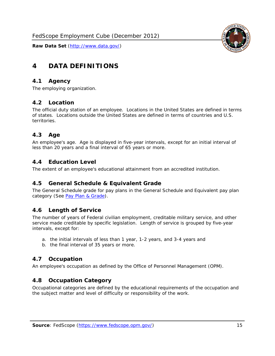

# <span id="page-15-0"></span>**4 DATA DEFINITIONS**

#### <span id="page-15-1"></span>*4.1 Agency*

The employing organization.

#### <span id="page-15-2"></span>*4.2 Location*

The official duty station of an employee. Locations in the United States are defined in terms of states. Locations outside the United States are defined in terms of countries and U.S. territories.

#### <span id="page-15-3"></span>*4.3 Age*

An employee's age. Age is displayed in five-year intervals, except for an initial interval of less than 20 years and a final interval of 65 years or more.

#### <span id="page-15-4"></span>*4.4 Education Level*

The extent of an employee's educational attainment from an accredited institution.

#### <span id="page-15-5"></span>*4.5 General Schedule & Equivalent Grade*

The General Schedule grade for pay plans in the General Schedule and Equivalent pay plan category (See [Pay Plan & Grade](#page-16-0)).

#### <span id="page-15-6"></span>*4.6 Length of Service*

The number of years of Federal civilian employment, creditable military service, and other service made creditable by specific legislation. Length of service is grouped by five-year intervals, except for:

- a. the initial intervals of less than 1 year, 1-2 years, and 3-4 years and
- b. the final interval of 35 years or more.

#### <span id="page-15-7"></span>*4.7 Occupation*

An employee's occupation as defined by the Office of Personnel Management (OPM).

#### <span id="page-15-8"></span>*4.8 Occupation Category*

Occupational categories are defined by the educational requirements of the occupation and the subject matter and level of difficulty or responsibility of the work.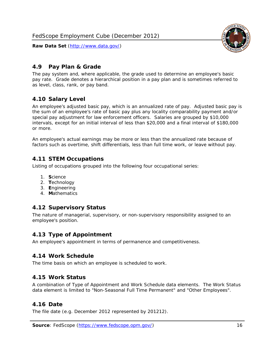<span id="page-16-0"></span>

The pay system and, where applicable, the grade used to determine an employee's basic pay rate. Grade denotes a hierarchical position in a pay plan and is sometimes referred to as level, class, rank, or pay band.

# <span id="page-16-1"></span>*4.10 Salary Level*

An employee's adjusted basic pay, which is an annualized rate of pay. Adjusted basic pay is the sum of an employee's rate of basic pay plus any locality comparability payment and/or special pay adjustment for law enforcement officers. Salaries are grouped by \$10,000 intervals, except for an initial interval of less than \$20,000 and a final interval of \$180,000 or more.

An employee's actual earnings may be more or less than the annualized rate because of factors such as overtime, shift differentials, less than full time work, or leave without pay.

# <span id="page-16-2"></span>*4.11 STEM Occupations*

Listing of occupations grouped into the following four occupational series:

- 1. **S**cience
- 2. **T**echnology
- 3. **E**ngineering
- 4. **M**athematics

#### <span id="page-16-3"></span>*4.12 Supervisory Status*

The nature of managerial, supervisory, or non-supervisory responsibility assigned to an employee's position.

#### <span id="page-16-4"></span>*4.13 Type of Appointment*

An employee's appointment in terms of permanence and competitiveness.

#### <span id="page-16-5"></span>*4.14 Work Schedule*

The time basis on which an employee is scheduled to work.

#### <span id="page-16-6"></span>*4.15 Work Status*

A combination of Type of Appointment and Work Schedule data elements. The Work Status data element is limited to "Non-Seasonal Full Time Permanent" and "Other Employees".

#### <span id="page-16-7"></span>*4.16 Date*

<span id="page-16-8"></span>The file date (e.g. December 2012 represented by 201212).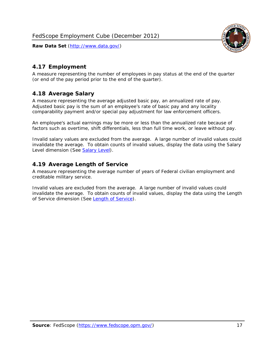

# <span id="page-17-0"></span>*4.17 Employment*

A measure representing the number of employees in pay status at the end of the quarter (or end of the pay period prior to the end of the quarter).

# <span id="page-17-1"></span>*4.18 Average Salary*

A measure representing the average adjusted basic pay, an annualized rate of pay. Adjusted basic pay is the sum of an employee's rate of basic pay and any locality comparability payment and/or special pay adjustment for law enforcement officers.

An employee's actual earnings may be more or less than the annualized rate because of factors such as overtime, shift differentials, less than full time work, or leave without pay.

Invalid salary values are excluded from the average. A large number of invalid values could invalidate the average. To obtain counts of invalid values, display the data using the Salary Level dimension (See [Salary Level\)](#page-16-1).

# <span id="page-17-2"></span>*4.19 Average Length of Service*

A measure representing the average number of years of Federal civilian employment and creditable military service.

Invalid values are excluded from the average. A large number of invalid values could invalidate the average. To obtain counts of invalid values, display the data using the Length of Service dimension (See [Length of Service](#page-15-6)).